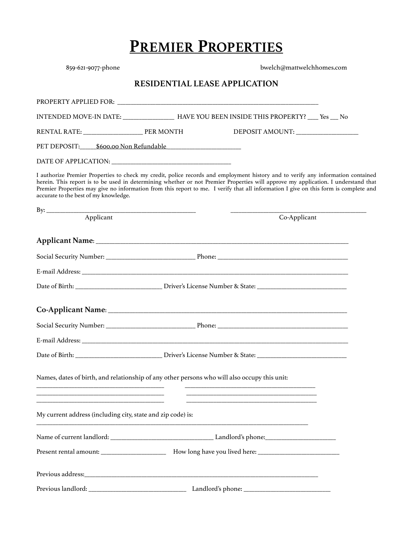## **PREMIER PROPERTIES**

| 859-621-9077-phone                                                                                                                                                                                                                                                                                                                                                                                                                                     |                                      | bwelch@mattwelchhomes.com |
|--------------------------------------------------------------------------------------------------------------------------------------------------------------------------------------------------------------------------------------------------------------------------------------------------------------------------------------------------------------------------------------------------------------------------------------------------------|--------------------------------------|---------------------------|
|                                                                                                                                                                                                                                                                                                                                                                                                                                                        | <b>RESIDENTIAL LEASE APPLICATION</b> |                           |
|                                                                                                                                                                                                                                                                                                                                                                                                                                                        |                                      |                           |
| INTENDED MOVE-IN DATE: _________________ HAVE YOU BEEN INSIDE THIS PROPERTY? ___ Yes __ No                                                                                                                                                                                                                                                                                                                                                             |                                      |                           |
|                                                                                                                                                                                                                                                                                                                                                                                                                                                        |                                      |                           |
| PET DEPOSIT: 5600.00 Non Refundable                                                                                                                                                                                                                                                                                                                                                                                                                    |                                      |                           |
|                                                                                                                                                                                                                                                                                                                                                                                                                                                        |                                      |                           |
| I authorize Premier Properties to check my credit, police records and employment history and to verify any information contained<br>herein. This report is to be used in determining whether or not Premier Properties will approve my application. I understand that<br>Premier Properties may give no information from this report to me. I verify that all information I give on this form is complete and<br>accurate to the best of my knowledge. |                                      |                           |
|                                                                                                                                                                                                                                                                                                                                                                                                                                                        |                                      |                           |
|                                                                                                                                                                                                                                                                                                                                                                                                                                                        |                                      | Co-Applicant              |
|                                                                                                                                                                                                                                                                                                                                                                                                                                                        |                                      |                           |
|                                                                                                                                                                                                                                                                                                                                                                                                                                                        |                                      |                           |
|                                                                                                                                                                                                                                                                                                                                                                                                                                                        |                                      |                           |
|                                                                                                                                                                                                                                                                                                                                                                                                                                                        |                                      |                           |
|                                                                                                                                                                                                                                                                                                                                                                                                                                                        |                                      |                           |
|                                                                                                                                                                                                                                                                                                                                                                                                                                                        |                                      |                           |
|                                                                                                                                                                                                                                                                                                                                                                                                                                                        |                                      |                           |
|                                                                                                                                                                                                                                                                                                                                                                                                                                                        |                                      |                           |
| Names, dates of birth, and relationship of any other persons who will also occupy this unit:<br><u> 1989 - Johann Barn, mars ann an t-Amhain an t-Amhain an t-Amhain an t-Amhain an t-Amhain an t-Amhain an t-Amh</u>                                                                                                                                                                                                                                  |                                      |                           |
| My current address (including city, state and zip code) is:                                                                                                                                                                                                                                                                                                                                                                                            |                                      |                           |
|                                                                                                                                                                                                                                                                                                                                                                                                                                                        |                                      |                           |
|                                                                                                                                                                                                                                                                                                                                                                                                                                                        |                                      |                           |
|                                                                                                                                                                                                                                                                                                                                                                                                                                                        |                                      |                           |
|                                                                                                                                                                                                                                                                                                                                                                                                                                                        |                                      |                           |